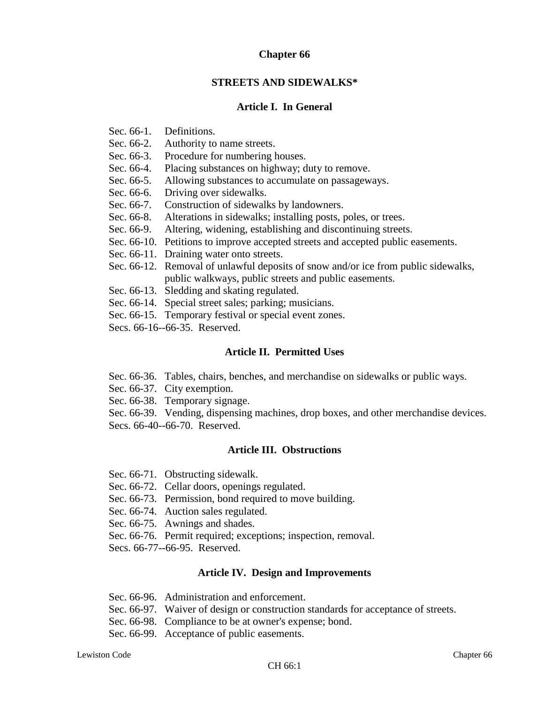### **Chapter 66**

#### **STREETS AND SIDEWALKS\***

#### **Article I. In General**

- Sec. 66-1. Definitions.
- Sec. 66-2. Authority to name streets.
- Sec. 66-3. Procedure for numbering houses.
- Sec. 66-4. Placing substances on highway; duty to remove.
- Sec. 66-5. Allowing substances to accumulate on passageways.
- Sec. 66-6. Driving over sidewalks.
- Sec. 66-7. Construction of sidewalks by landowners.
- Sec. 66-8. Alterations in sidewalks; installing posts, poles, or trees.
- Sec. 66-9. Altering, widening, establishing and discontinuing streets.
- Sec. 66-10. Petitions to improve accepted streets and accepted public easements.
- Sec. 66-11. Draining water onto streets.
- Sec. 66-12. Removal of unlawful deposits of snow and/or ice from public sidewalks, public walkways, public streets and public easements.
- Sec. 66-13. Sledding and skating regulated.
- Sec. 66-14. Special street sales; parking; musicians.
- Sec. 66-15. Temporary festival or special event zones.
- Secs. 66-16--66-35. Reserved.

#### **Article II. Permitted Uses**

- Sec. 66-36. Tables, chairs, benches, and merchandise on sidewalks or public ways.
- Sec. 66-37. City exemption.
- Sec. 66-38. Temporary signage.

Sec. 66-39. Vending, dispensing machines, drop boxes, and other merchandise devices. Secs. 66-40--66-70. Reserved.

### **Article III. Obstructions**

- Sec. 66-71. Obstructing sidewalk.
- Sec. 66-72. Cellar doors, openings regulated.
- Sec. 66-73. Permission, bond required to move building.
- Sec. 66-74. Auction sales regulated.
- Sec. 66-75. Awnings and shades.
- Sec. 66-76. Permit required; exceptions; inspection, removal.
- Secs. 66-77--66-95. Reserved.

#### **Article IV. Design and Improvements**

- Sec. 66-96. Administration and enforcement.
- Sec. 66-97. Waiver of design or construction standards for acceptance of streets.
- Sec. 66-98. Compliance to be at owner's expense; bond.
- Sec. 66-99. Acceptance of public easements.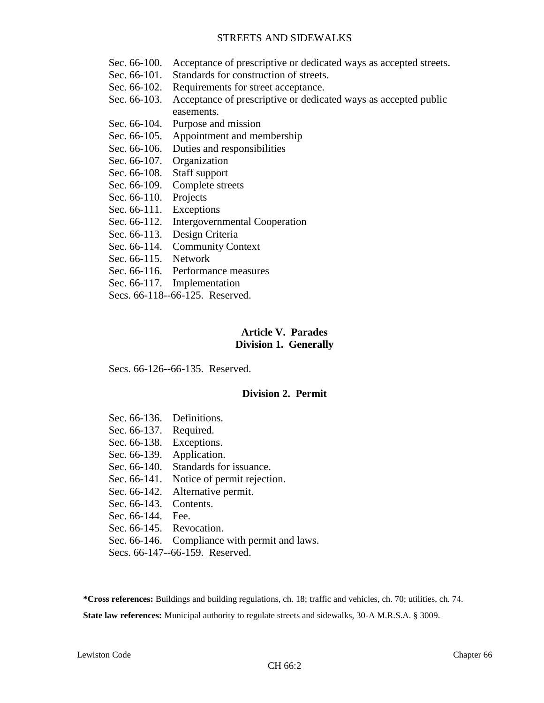- Sec. 66-100. Acceptance of prescriptive or dedicated ways as accepted streets.
- Sec. 66-101. Standards for construction of streets.
- Sec. 66-102. Requirements for street acceptance.
- Sec. 66-103. Acceptance of prescriptive or dedicated ways as accepted public easements.
- Sec. 66-104. Purpose and mission
- Sec. 66-105. Appointment and membership
- Sec. 66-106. Duties and responsibilities
- Sec. 66-107. Organization
- Sec. 66-108. Staff support
- Sec. 66-109. Complete streets
- Sec. 66-110. Projects
- Sec. 66-111. Exceptions
- Sec. 66-112. Intergovernmental Cooperation
- Sec. 66-113. Design Criteria
- Sec. 66-114. Community Context
- Sec. 66-115. Network
- Sec. 66-116. Performance measures
- Sec. 66-117. Implementation
- Secs. 66-118--66-125. Reserved.

### **Article V. Parades Division 1. Generally**

Secs. 66-126--66-135. Reserved.

#### **Division 2. Permit**

- Sec. 66-136. Definitions. Sec. 66-137. Required. Sec. 66-138. Exceptions. Sec. 66-139. Application. Sec. 66-140. Standards for issuance. Sec. 66-141. Notice of permit rejection. Sec. 66-142. Alternative permit. Sec. 66-143. Contents. Sec. 66-144. Fee. Sec. 66-145. Revocation. Sec. 66-146. Compliance with permit and laws.
- Secs. 66-147--66-159. Reserved.

**\*Cross references:** Buildings and building regulations, ch. 18; traffic and vehicles, ch. 70; utilities, ch. 74. **State law references:** Municipal authority to regulate streets and sidewalks, 30-A M.R.S.A. § 3009.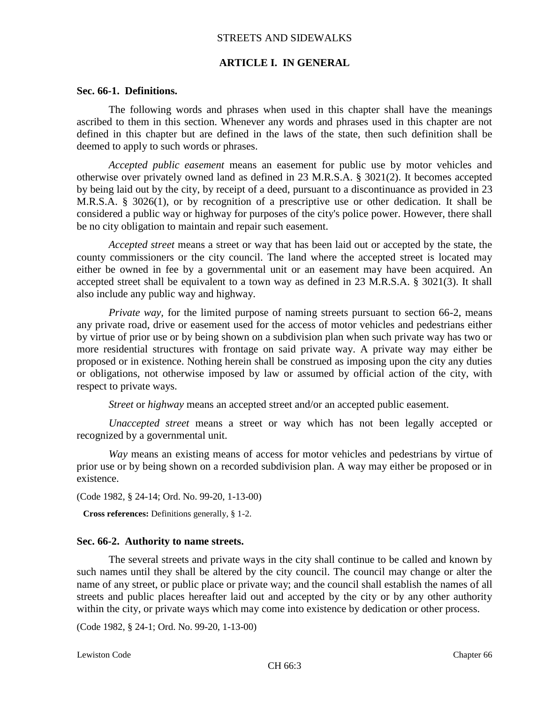#### **ARTICLE I. IN GENERAL**

#### **Sec. 66-1. Definitions.**

The following words and phrases when used in this chapter shall have the meanings ascribed to them in this section. Whenever any words and phrases used in this chapter are not defined in this chapter but are defined in the laws of the state, then such definition shall be deemed to apply to such words or phrases.

*Accepted public easement* means an easement for public use by motor vehicles and otherwise over privately owned land as defined in 23 M.R.S.A. § 3021(2). It becomes accepted by being laid out by the city, by receipt of a deed, pursuant to a discontinuance as provided in 23 M.R.S.A. § 3026(1), or by recognition of a prescriptive use or other dedication. It shall be considered a public way or highway for purposes of the city's police power. However, there shall be no city obligation to maintain and repair such easement.

*Accepted street* means a street or way that has been laid out or accepted by the state, the county commissioners or the city council. The land where the accepted street is located may either be owned in fee by a governmental unit or an easement may have been acquired. An accepted street shall be equivalent to a town way as defined in 23 M.R.S.A. § 3021(3). It shall also include any public way and highway.

*Private way*, for the limited purpose of naming streets pursuant to section 66-2, means any private road, drive or easement used for the access of motor vehicles and pedestrians either by virtue of prior use or by being shown on a subdivision plan when such private way has two or more residential structures with frontage on said private way. A private way may either be proposed or in existence. Nothing herein shall be construed as imposing upon the city any duties or obligations, not otherwise imposed by law or assumed by official action of the city, with respect to private ways.

*Street* or *highway* means an accepted street and/or an accepted public easement.

*Unaccepted street* means a street or way which has not been legally accepted or recognized by a governmental unit.

*Way* means an existing means of access for motor vehicles and pedestrians by virtue of prior use or by being shown on a recorded subdivision plan. A way may either be proposed or in existence.

(Code 1982, § 24-14; Ord. No. 99-20, 1-13-00)

**Cross references:** Definitions generally, § 1-2.

#### **Sec. 66-2. Authority to name streets.**

The several streets and private ways in the city shall continue to be called and known by such names until they shall be altered by the city council. The council may change or alter the name of any street, or public place or private way; and the council shall establish the names of all streets and public places hereafter laid out and accepted by the city or by any other authority within the city, or private ways which may come into existence by dedication or other process.

(Code 1982, § 24-1; Ord. No. 99-20, 1-13-00)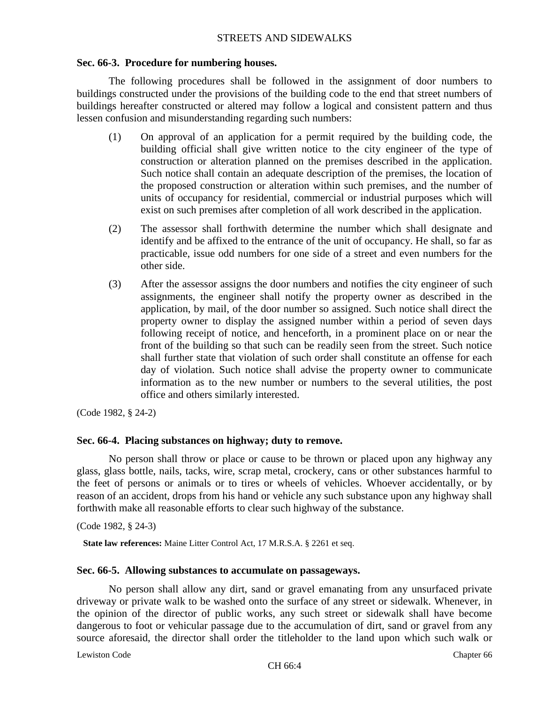# **Sec. 66-3. Procedure for numbering houses.**

The following procedures shall be followed in the assignment of door numbers to buildings constructed under the provisions of the building code to the end that street numbers of buildings hereafter constructed or altered may follow a logical and consistent pattern and thus lessen confusion and misunderstanding regarding such numbers:

- (1) On approval of an application for a permit required by the building code, the building official shall give written notice to the city engineer of the type of construction or alteration planned on the premises described in the application. Such notice shall contain an adequate description of the premises, the location of the proposed construction or alteration within such premises, and the number of units of occupancy for residential, commercial or industrial purposes which will exist on such premises after completion of all work described in the application.
- (2) The assessor shall forthwith determine the number which shall designate and identify and be affixed to the entrance of the unit of occupancy. He shall, so far as practicable, issue odd numbers for one side of a street and even numbers for the other side.
- (3) After the assessor assigns the door numbers and notifies the city engineer of such assignments, the engineer shall notify the property owner as described in the application, by mail, of the door number so assigned. Such notice shall direct the property owner to display the assigned number within a period of seven days following receipt of notice, and henceforth, in a prominent place on or near the front of the building so that such can be readily seen from the street. Such notice shall further state that violation of such order shall constitute an offense for each day of violation. Such notice shall advise the property owner to communicate information as to the new number or numbers to the several utilities, the post office and others similarly interested.

(Code 1982, § 24-2)

# **Sec. 66-4. Placing substances on highway; duty to remove.**

No person shall throw or place or cause to be thrown or placed upon any highway any glass, glass bottle, nails, tacks, wire, scrap metal, crockery, cans or other substances harmful to the feet of persons or animals or to tires or wheels of vehicles. Whoever accidentally, or by reason of an accident, drops from his hand or vehicle any such substance upon any highway shall forthwith make all reasonable efforts to clear such highway of the substance.

(Code 1982, § 24-3)

**State law references:** Maine Litter Control Act, 17 M.R.S.A. § 2261 et seq.

#### **Sec. 66-5. Allowing substances to accumulate on passageways.**

No person shall allow any dirt, sand or gravel emanating from any unsurfaced private driveway or private walk to be washed onto the surface of any street or sidewalk. Whenever, in the opinion of the director of public works, any such street or sidewalk shall have become dangerous to foot or vehicular passage due to the accumulation of dirt, sand or gravel from any source aforesaid, the director shall order the titleholder to the land upon which such walk or

Lewiston Code Chapter 66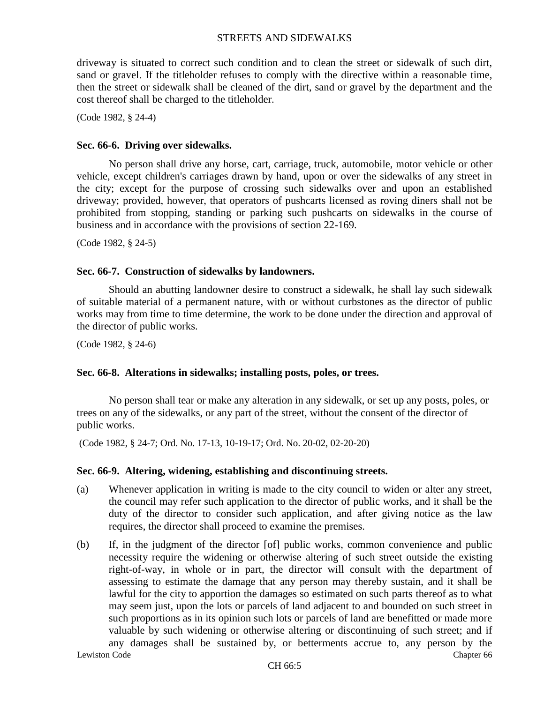driveway is situated to correct such condition and to clean the street or sidewalk of such dirt, sand or gravel. If the titleholder refuses to comply with the directive within a reasonable time, then the street or sidewalk shall be cleaned of the dirt, sand or gravel by the department and the cost thereof shall be charged to the titleholder.

(Code 1982, § 24-4)

#### **Sec. 66-6. Driving over sidewalks.**

No person shall drive any horse, cart, carriage, truck, automobile, motor vehicle or other vehicle, except children's carriages drawn by hand, upon or over the sidewalks of any street in the city; except for the purpose of crossing such sidewalks over and upon an established driveway; provided, however, that operators of pushcarts licensed as roving diners shall not be prohibited from stopping, standing or parking such pushcarts on sidewalks in the course of business and in accordance with the provisions of section 22-169.

(Code 1982, § 24-5)

#### **Sec. 66-7. Construction of sidewalks by landowners.**

Should an abutting landowner desire to construct a sidewalk, he shall lay such sidewalk of suitable material of a permanent nature, with or without curbstones as the director of public works may from time to time determine, the work to be done under the direction and approval of the director of public works.

(Code 1982, § 24-6)

#### **Sec. 66-8. Alterations in sidewalks; installing posts, poles, or trees.**

No person shall tear or make any alteration in any sidewalk, or set up any posts, poles, or trees on any of the sidewalks, or any part of the street, without the consent of the director of public works.

(Code 1982, § 24-7; Ord. No. 17-13, 10-19-17; Ord. No. 20-02, 02-20-20)

#### **Sec. 66-9. Altering, widening, establishing and discontinuing streets.**

- (a) Whenever application in writing is made to the city council to widen or alter any street, the council may refer such application to the director of public works, and it shall be the duty of the director to consider such application, and after giving notice as the law requires, the director shall proceed to examine the premises.
- Lewiston Code Chapter 66 (b) If, in the judgment of the director [of] public works, common convenience and public necessity require the widening or otherwise altering of such street outside the existing right-of-way, in whole or in part, the director will consult with the department of assessing to estimate the damage that any person may thereby sustain, and it shall be lawful for the city to apportion the damages so estimated on such parts thereof as to what may seem just, upon the lots or parcels of land adjacent to and bounded on such street in such proportions as in its opinion such lots or parcels of land are benefitted or made more valuable by such widening or otherwise altering or discontinuing of such street; and if any damages shall be sustained by, or betterments accrue to, any person by the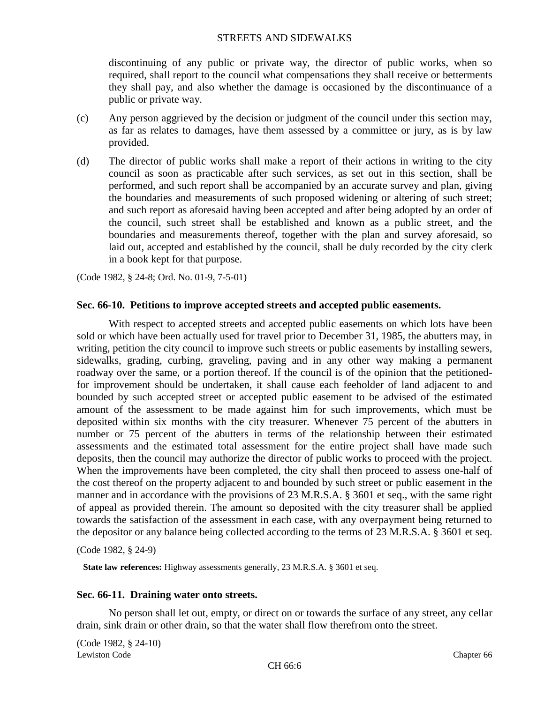discontinuing of any public or private way, the director of public works, when so required, shall report to the council what compensations they shall receive or betterments they shall pay, and also whether the damage is occasioned by the discontinuance of a public or private way.

- (c) Any person aggrieved by the decision or judgment of the council under this section may, as far as relates to damages, have them assessed by a committee or jury, as is by law provided.
- (d) The director of public works shall make a report of their actions in writing to the city council as soon as practicable after such services, as set out in this section, shall be performed, and such report shall be accompanied by an accurate survey and plan, giving the boundaries and measurements of such proposed widening or altering of such street; and such report as aforesaid having been accepted and after being adopted by an order of the council, such street shall be established and known as a public street, and the boundaries and measurements thereof, together with the plan and survey aforesaid, so laid out, accepted and established by the council, shall be duly recorded by the city clerk in a book kept for that purpose.

(Code 1982, § 24-8; Ord. No. 01-9, 7-5-01)

# **Sec. 66-10. Petitions to improve accepted streets and accepted public easements.**

With respect to accepted streets and accepted public easements on which lots have been sold or which have been actually used for travel prior to December 31, 1985, the abutters may, in writing, petition the city council to improve such streets or public easements by installing sewers, sidewalks, grading, curbing, graveling, paving and in any other way making a permanent roadway over the same, or a portion thereof. If the council is of the opinion that the petitionedfor improvement should be undertaken, it shall cause each feeholder of land adjacent to and bounded by such accepted street or accepted public easement to be advised of the estimated amount of the assessment to be made against him for such improvements, which must be deposited within six months with the city treasurer. Whenever 75 percent of the abutters in number or 75 percent of the abutters in terms of the relationship between their estimated assessments and the estimated total assessment for the entire project shall have made such deposits, then the council may authorize the director of public works to proceed with the project. When the improvements have been completed, the city shall then proceed to assess one-half of the cost thereof on the property adjacent to and bounded by such street or public easement in the manner and in accordance with the provisions of 23 M.R.S.A. § 3601 et seq., with the same right of appeal as provided therein. The amount so deposited with the city treasurer shall be applied towards the satisfaction of the assessment in each case, with any overpayment being returned to the depositor or any balance being collected according to the terms of 23 M.R.S.A. § 3601 et seq.

(Code 1982, § 24-9)

**State law references:** Highway assessments generally, 23 M.R.S.A. § 3601 et seq.

#### **Sec. 66-11. Draining water onto streets.**

No person shall let out, empty, or direct on or towards the surface of any street, any cellar drain, sink drain or other drain, so that the water shall flow therefrom onto the street.

Lewiston Code Chapter 66 (Code 1982, § 24-10)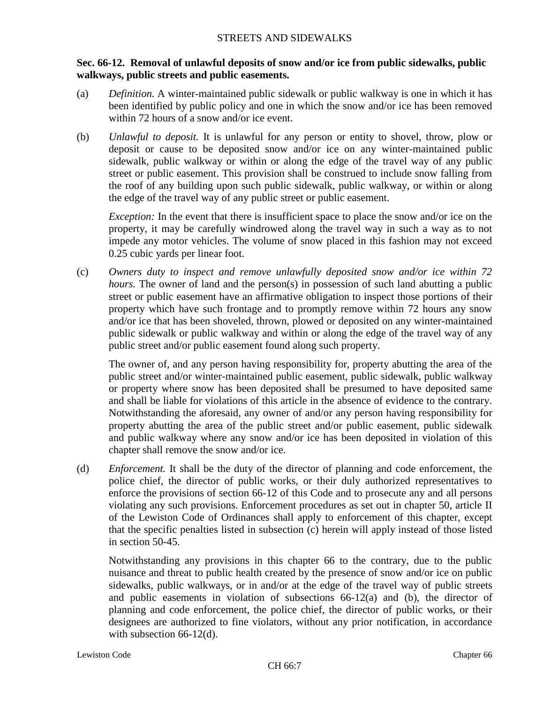# **Sec. 66-12. Removal of unlawful deposits of snow and/or ice from public sidewalks, public walkways, public streets and public easements.**

- (a) *Definition.* A winter-maintained public sidewalk or public walkway is one in which it has been identified by public policy and one in which the snow and/or ice has been removed within 72 hours of a snow and/or ice event.
- (b) *Unlawful to deposit.* It is unlawful for any person or entity to shovel, throw, plow or deposit or cause to be deposited snow and/or ice on any winter-maintained public sidewalk, public walkway or within or along the edge of the travel way of any public street or public easement. This provision shall be construed to include snow falling from the roof of any building upon such public sidewalk, public walkway, or within or along the edge of the travel way of any public street or public easement.

*Exception:* In the event that there is insufficient space to place the snow and/or ice on the property, it may be carefully windrowed along the travel way in such a way as to not impede any motor vehicles. The volume of snow placed in this fashion may not exceed 0.25 cubic yards per linear foot.

(c) *Owners duty to inspect and remove unlawfully deposited snow and/or ice within 72 hours*. The owner of land and the person(s) in possession of such land abutting a public street or public easement have an affirmative obligation to inspect those portions of their property which have such frontage and to promptly remove within 72 hours any snow and/or ice that has been shoveled, thrown, plowed or deposited on any winter-maintained public sidewalk or public walkway and within or along the edge of the travel way of any public street and/or public easement found along such property.

The owner of, and any person having responsibility for, property abutting the area of the public street and/or winter-maintained public easement, public sidewalk, public walkway or property where snow has been deposited shall be presumed to have deposited same and shall be liable for violations of this article in the absence of evidence to the contrary. Notwithstanding the aforesaid, any owner of and/or any person having responsibility for property abutting the area of the public street and/or public easement, public sidewalk and public walkway where any snow and/or ice has been deposited in violation of this chapter shall remove the snow and/or ice.

(d) *Enforcement.* It shall be the duty of the director of planning and code enforcement, the police chief, the director of public works, or their duly authorized representatives to enforce the provisions of section 66-12 of this Code and to prosecute any and all persons violating any such provisions. Enforcement procedures as set out in chapter 50, article II of the Lewiston Code of Ordinances shall apply to enforcement of this chapter, except that the specific penalties listed in subsection (c) herein will apply instead of those listed in section 50-45.

Notwithstanding any provisions in this chapter 66 to the contrary, due to the public nuisance and threat to public health created by the presence of snow and/or ice on public sidewalks, public walkways, or in and/or at the edge of the travel way of public streets and public easements in violation of subsections  $66-12(a)$  and (b), the director of planning and code enforcement, the police chief, the director of public works, or their designees are authorized to fine violators, without any prior notification, in accordance with subsection 66-12(d).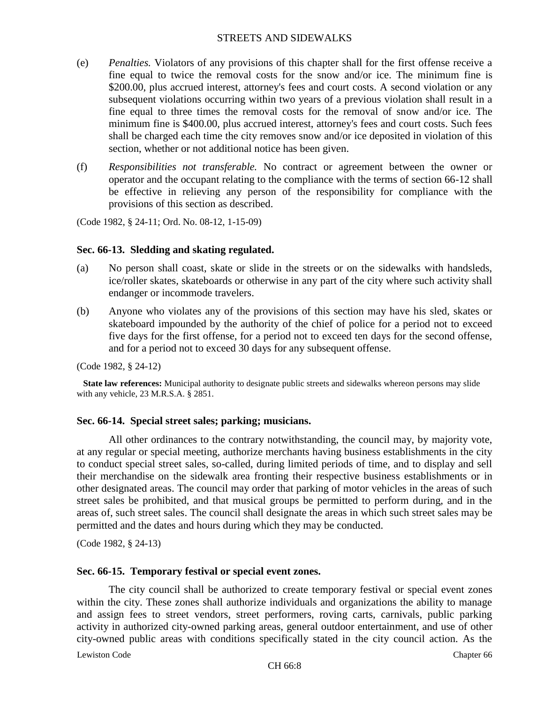- (e) *Penalties.* Violators of any provisions of this chapter shall for the first offense receive a fine equal to twice the removal costs for the snow and/or ice. The minimum fine is \$200.00, plus accrued interest, attorney's fees and court costs. A second violation or any subsequent violations occurring within two years of a previous violation shall result in a fine equal to three times the removal costs for the removal of snow and/or ice. The minimum fine is \$400.00, plus accrued interest, attorney's fees and court costs. Such fees shall be charged each time the city removes snow and/or ice deposited in violation of this section, whether or not additional notice has been given.
- (f) *Responsibilities not transferable.* No contract or agreement between the owner or operator and the occupant relating to the compliance with the terms of section 66-12 shall be effective in relieving any person of the responsibility for compliance with the provisions of this section as described.

(Code 1982, § 24-11; Ord. No. 08-12, 1-15-09)

### **Sec. 66-13. Sledding and skating regulated.**

- (a) No person shall coast, skate or slide in the streets or on the sidewalks with handsleds, ice/roller skates, skateboards or otherwise in any part of the city where such activity shall endanger or incommode travelers.
- (b) Anyone who violates any of the provisions of this section may have his sled, skates or skateboard impounded by the authority of the chief of police for a period not to exceed five days for the first offense, for a period not to exceed ten days for the second offense, and for a period not to exceed 30 days for any subsequent offense.

(Code 1982, § 24-12)

**State law references:** Municipal authority to designate public streets and sidewalks whereon persons may slide with any vehicle, 23 M.R.S.A. § 2851.

# **Sec. 66-14. Special street sales; parking; musicians.**

All other ordinances to the contrary notwithstanding, the council may, by majority vote, at any regular or special meeting, authorize merchants having business establishments in the city to conduct special street sales, so-called, during limited periods of time, and to display and sell their merchandise on the sidewalk area fronting their respective business establishments or in other designated areas. The council may order that parking of motor vehicles in the areas of such street sales be prohibited, and that musical groups be permitted to perform during, and in the areas of, such street sales. The council shall designate the areas in which such street sales may be permitted and the dates and hours during which they may be conducted.

(Code 1982, § 24-13)

# **Sec. 66-15. Temporary festival or special event zones.**

The city council shall be authorized to create temporary festival or special event zones within the city. These zones shall authorize individuals and organizations the ability to manage and assign fees to street vendors, street performers, roving carts, carnivals, public parking activity in authorized city-owned parking areas, general outdoor entertainment, and use of other city-owned public areas with conditions specifically stated in the city council action. As the

Lewiston Code Chapter 66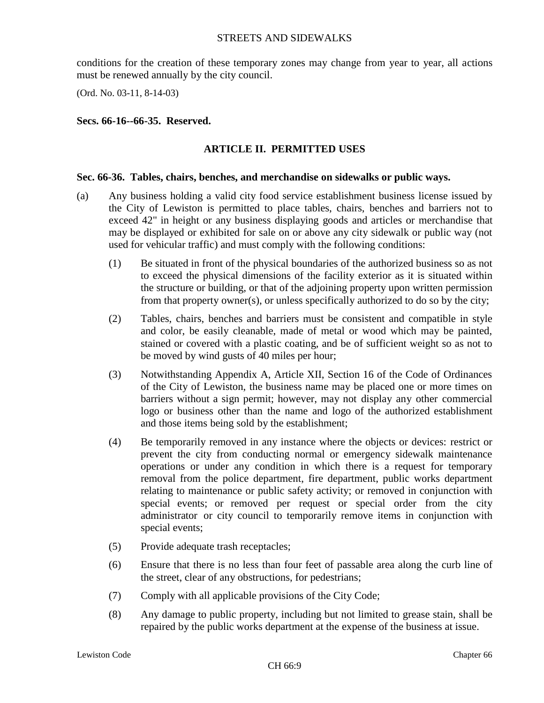conditions for the creation of these temporary zones may change from year to year, all actions must be renewed annually by the city council.

(Ord. No. 03-11, 8-14-03)

### **Secs. 66-16--66-35. Reserved.**

# **ARTICLE II. PERMITTED USES**

#### **Sec. 66-36. Tables, chairs, benches, and merchandise on sidewalks or public ways.**

- (a) Any business holding a valid city food service establishment business license issued by the City of Lewiston is permitted to place tables, chairs, benches and barriers not to exceed 42" in height or any business displaying goods and articles or merchandise that may be displayed or exhibited for sale on or above any city sidewalk or public way (not used for vehicular traffic) and must comply with the following conditions:
	- (1) Be situated in front of the physical boundaries of the authorized business so as not to exceed the physical dimensions of the facility exterior as it is situated within the structure or building, or that of the adjoining property upon written permission from that property owner(s), or unless specifically authorized to do so by the city;
	- (2) Tables, chairs, benches and barriers must be consistent and compatible in style and color, be easily cleanable, made of metal or wood which may be painted, stained or covered with a plastic coating, and be of sufficient weight so as not to be moved by wind gusts of 40 miles per hour;
	- (3) Notwithstanding Appendix A, Article XII, Section 16 of the Code of Ordinances of the City of Lewiston, the business name may be placed one or more times on barriers without a sign permit; however, may not display any other commercial logo or business other than the name and logo of the authorized establishment and those items being sold by the establishment;
	- (4) Be temporarily removed in any instance where the objects or devices: restrict or prevent the city from conducting normal or emergency sidewalk maintenance operations or under any condition in which there is a request for temporary removal from the police department, fire department, public works department relating to maintenance or public safety activity; or removed in conjunction with special events; or removed per request or special order from the city administrator or city council to temporarily remove items in conjunction with special events;
	- (5) Provide adequate trash receptacles;
	- (6) Ensure that there is no less than four feet of passable area along the curb line of the street, clear of any obstructions, for pedestrians;
	- (7) Comply with all applicable provisions of the City Code;
	- (8) Any damage to public property, including but not limited to grease stain, shall be repaired by the public works department at the expense of the business at issue.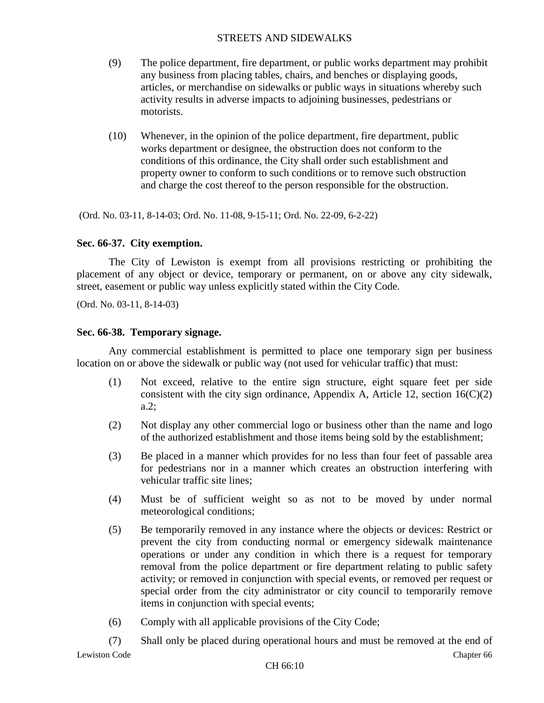- (9) The police department, fire department, or public works department may prohibit any business from placing tables, chairs, and benches or displaying goods, articles, or merchandise on sidewalks or public ways in situations whereby such activity results in adverse impacts to adjoining businesses, pedestrians or motorists.
- (10) Whenever, in the opinion of the police department, fire department, public works department or designee, the obstruction does not conform to the conditions of this ordinance, the City shall order such establishment and property owner to conform to such conditions or to remove such obstruction and charge the cost thereof to the person responsible for the obstruction.

(Ord. No. 03-11, 8-14-03; Ord. No. 11-08, 9-15-11; Ord. No. 22-09, 6-2-22)

# **Sec. 66-37. City exemption.**

The City of Lewiston is exempt from all provisions restricting or prohibiting the placement of any object or device, temporary or permanent, on or above any city sidewalk, street, easement or public way unless explicitly stated within the City Code.

(Ord. No. 03-11, 8-14-03)

### **Sec. 66-38. Temporary signage.**

Any commercial establishment is permitted to place one temporary sign per business location on or above the sidewalk or public way (not used for vehicular traffic) that must:

- (1) Not exceed, relative to the entire sign structure, eight square feet per side consistent with the city sign ordinance, Appendix A, Article 12, section  $16(C)(2)$ a.2;
- (2) Not display any other commercial logo or business other than the name and logo of the authorized establishment and those items being sold by the establishment;
- (3) Be placed in a manner which provides for no less than four feet of passable area for pedestrians nor in a manner which creates an obstruction interfering with vehicular traffic site lines;
- (4) Must be of sufficient weight so as not to be moved by under normal meteorological conditions;
- (5) Be temporarily removed in any instance where the objects or devices: Restrict or prevent the city from conducting normal or emergency sidewalk maintenance operations or under any condition in which there is a request for temporary removal from the police department or fire department relating to public safety activity; or removed in conjunction with special events, or removed per request or special order from the city administrator or city council to temporarily remove items in conjunction with special events;
- (6) Comply with all applicable provisions of the City Code;
- Lewiston Code Chapter 66 (7) Shall only be placed during operational hours and must be removed at the end of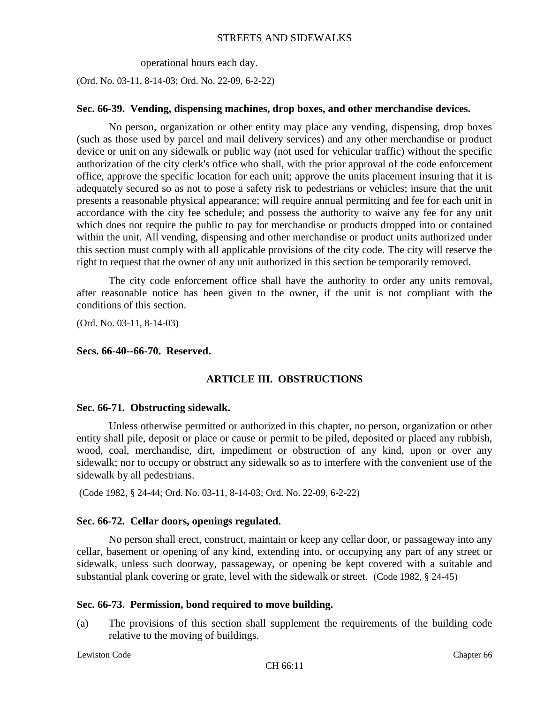operational hours each day.

(Ord. No. 03-11, 8-14-03; Ord. No. 22-09, 6-2-22)

### **Sec. 66-39. Vending, dispensing machines, drop boxes, and other merchandise devices.**

No person, organization or other entity may place any vending, dispensing, drop boxes (such as those used by parcel and mail delivery services) and any other merchandise or product device or unit on any sidewalk or public way (not used for vehicular traffic) without the specific authorization of the city clerk's office who shall, with the prior approval of the code enforcement office, approve the specific location for each unit; approve the units placement insuring that it is adequately secured so as not to pose a safety risk to pedestrians or vehicles; insure that the unit presents a reasonable physical appearance; will require annual permitting and fee for each unit in accordance with the city fee schedule; and possess the authority to waive any fee for any unit which does not require the public to pay for merchandise or products dropped into or contained within the unit. All vending, dispensing and other merchandise or product units authorized under this section must comply with all applicable provisions of the city code. The city will reserve the right to request that the owner of any unit authorized in this section be temporarily removed.

The city code enforcement office shall have the authority to order any units removal, after reasonable notice has been given to the owner, if the unit is not compliant with the conditions of this section.

(Ord. No. 03-11, 8-14-03)

### **Secs. 66-40--66-70. Reserved.**

# **ARTICLE III. OBSTRUCTIONS**

#### **Sec. 66-71. Obstructing sidewalk.**

Unless otherwise permitted or authorized in this chapter, no person, organization or other entity shall pile, deposit or place or cause or permit to be piled, deposited or placed any rubbish, wood, coal, merchandise, dirt, impediment or obstruction of any kind, upon or over any sidewalk; nor to occupy or obstruct any sidewalk so as to interfere with the convenient use of the sidewalk by all pedestrians.

(Code 1982, § 24-44; Ord. No. 03-11, 8-14-03; Ord. No. 22-09, 6-2-22)

# **Sec. 66-72. Cellar doors, openings regulated.**

No person shall erect, construct, maintain or keep any cellar door, or passageway into any cellar, basement or opening of any kind, extending into, or occupying any part of any street or sidewalk, unless such doorway, passageway, or opening be kept covered with a suitable and substantial plank covering or grate, level with the sidewalk or street. (Code 1982, § 24-45)

# **Sec. 66-73. Permission, bond required to move building.**

(a) The provisions of this section shall supplement the requirements of the building code relative to the moving of buildings.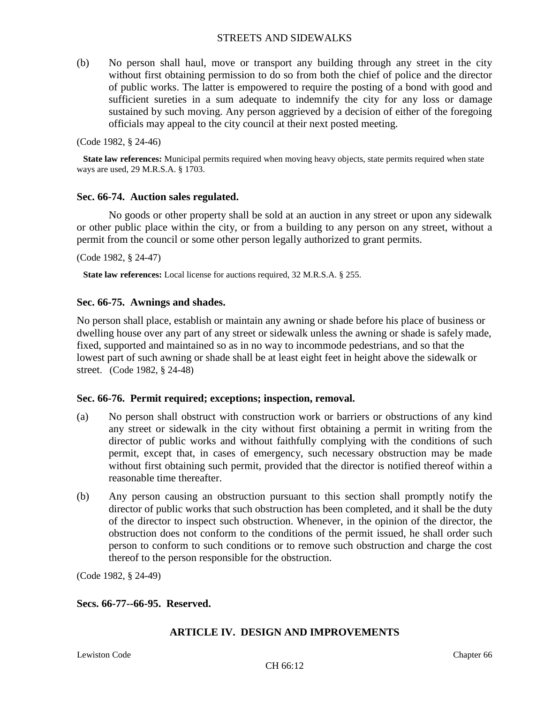(b) No person shall haul, move or transport any building through any street in the city without first obtaining permission to do so from both the chief of police and the director of public works. The latter is empowered to require the posting of a bond with good and sufficient sureties in a sum adequate to indemnify the city for any loss or damage sustained by such moving. Any person aggrieved by a decision of either of the foregoing officials may appeal to the city council at their next posted meeting.

(Code 1982, § 24-46)

**State law references:** Municipal permits required when moving heavy objects, state permits required when state ways are used, 29 M.R.S.A. § 1703.

#### **Sec. 66-74. Auction sales regulated.**

No goods or other property shall be sold at an auction in any street or upon any sidewalk or other public place within the city, or from a building to any person on any street, without a permit from the council or some other person legally authorized to grant permits.

(Code 1982, § 24-47)

**State law references:** Local license for auctions required, 32 M.R.S.A. § 255.

#### **Sec. 66-75. Awnings and shades.**

No person shall place, establish or maintain any awning or shade before his place of business or dwelling house over any part of any street or sidewalk unless the awning or shade is safely made, fixed, supported and maintained so as in no way to incommode pedestrians, and so that the lowest part of such awning or shade shall be at least eight feet in height above the sidewalk or street. (Code 1982, § 24-48)

#### **Sec. 66-76. Permit required; exceptions; inspection, removal.**

- (a) No person shall obstruct with construction work or barriers or obstructions of any kind any street or sidewalk in the city without first obtaining a permit in writing from the director of public works and without faithfully complying with the conditions of such permit, except that, in cases of emergency, such necessary obstruction may be made without first obtaining such permit, provided that the director is notified thereof within a reasonable time thereafter.
- (b) Any person causing an obstruction pursuant to this section shall promptly notify the director of public works that such obstruction has been completed, and it shall be the duty of the director to inspect such obstruction. Whenever, in the opinion of the director, the obstruction does not conform to the conditions of the permit issued, he shall order such person to conform to such conditions or to remove such obstruction and charge the cost thereof to the person responsible for the obstruction.

(Code 1982, § 24-49)

#### **Secs. 66-77--66-95. Reserved.**

# **ARTICLE IV. DESIGN AND IMPROVEMENTS**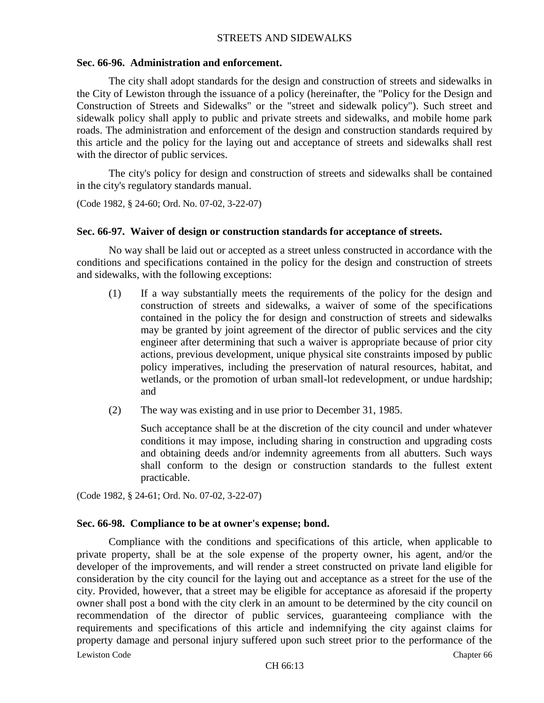#### **Sec. 66-96. Administration and enforcement.**

The city shall adopt standards for the design and construction of streets and sidewalks in the City of Lewiston through the issuance of a policy (hereinafter, the "Policy for the Design and Construction of Streets and Sidewalks" or the "street and sidewalk policy"). Such street and sidewalk policy shall apply to public and private streets and sidewalks, and mobile home park roads. The administration and enforcement of the design and construction standards required by this article and the policy for the laying out and acceptance of streets and sidewalks shall rest with the director of public services.

The city's policy for design and construction of streets and sidewalks shall be contained in the city's regulatory standards manual.

```
(Code 1982, § 24-60; Ord. No. 07-02, 3-22-07)
```
### **Sec. 66-97. Waiver of design or construction standards for acceptance of streets.**

No way shall be laid out or accepted as a street unless constructed in accordance with the conditions and specifications contained in the policy for the design and construction of streets and sidewalks, with the following exceptions:

- (1) If a way substantially meets the requirements of the policy for the design and construction of streets and sidewalks, a waiver of some of the specifications contained in the policy the for design and construction of streets and sidewalks may be granted by joint agreement of the director of public services and the city engineer after determining that such a waiver is appropriate because of prior city actions, previous development, unique physical site constraints imposed by public policy imperatives, including the preservation of natural resources, habitat, and wetlands, or the promotion of urban small-lot redevelopment, or undue hardship; and
- (2) The way was existing and in use prior to December 31, 1985.

Such acceptance shall be at the discretion of the city council and under whatever conditions it may impose, including sharing in construction and upgrading costs and obtaining deeds and/or indemnity agreements from all abutters. Such ways shall conform to the design or construction standards to the fullest extent practicable.

(Code 1982, § 24-61; Ord. No. 07-02, 3-22-07)

#### **Sec. 66-98. Compliance to be at owner's expense; bond.**

Lewiston Code Chapter 66 Compliance with the conditions and specifications of this article, when applicable to private property, shall be at the sole expense of the property owner, his agent, and/or the developer of the improvements, and will render a street constructed on private land eligible for consideration by the city council for the laying out and acceptance as a street for the use of the city. Provided, however, that a street may be eligible for acceptance as aforesaid if the property owner shall post a bond with the city clerk in an amount to be determined by the city council on recommendation of the director of public services, guaranteeing compliance with the requirements and specifications of this article and indemnifying the city against claims for property damage and personal injury suffered upon such street prior to the performance of the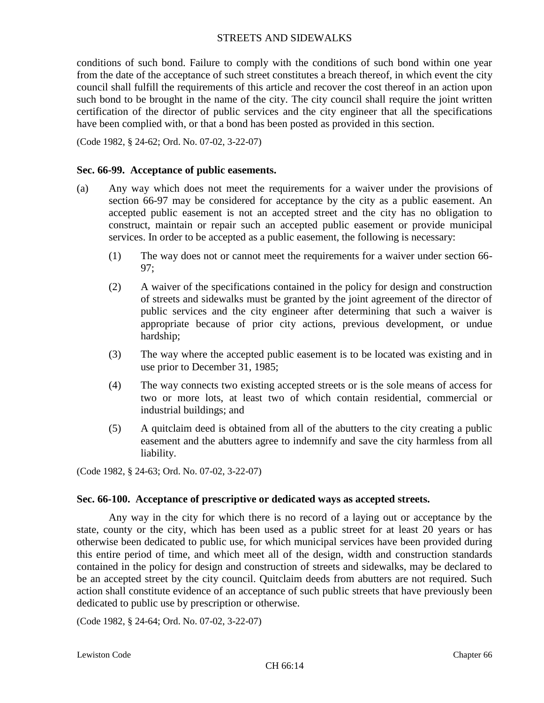conditions of such bond. Failure to comply with the conditions of such bond within one year from the date of the acceptance of such street constitutes a breach thereof, in which event the city council shall fulfill the requirements of this article and recover the cost thereof in an action upon such bond to be brought in the name of the city. The city council shall require the joint written certification of the director of public services and the city engineer that all the specifications have been complied with, or that a bond has been posted as provided in this section.

(Code 1982, § 24-62; Ord. No. 07-02, 3-22-07)

#### **Sec. 66-99. Acceptance of public easements.**

- (a) Any way which does not meet the requirements for a waiver under the provisions of section 66-97 may be considered for acceptance by the city as a public easement. An accepted public easement is not an accepted street and the city has no obligation to construct, maintain or repair such an accepted public easement or provide municipal services. In order to be accepted as a public easement, the following is necessary:
	- (1) The way does not or cannot meet the requirements for a waiver under section 66- 97;
	- (2) A waiver of the specifications contained in the policy for design and construction of streets and sidewalks must be granted by the joint agreement of the director of public services and the city engineer after determining that such a waiver is appropriate because of prior city actions, previous development, or undue hardship;
	- (3) The way where the accepted public easement is to be located was existing and in use prior to December 31, 1985;
	- (4) The way connects two existing accepted streets or is the sole means of access for two or more lots, at least two of which contain residential, commercial or industrial buildings; and
	- (5) A quitclaim deed is obtained from all of the abutters to the city creating a public easement and the abutters agree to indemnify and save the city harmless from all liability.

(Code 1982, § 24-63; Ord. No. 07-02, 3-22-07)

# **Sec. 66-100. Acceptance of prescriptive or dedicated ways as accepted streets.**

Any way in the city for which there is no record of a laying out or acceptance by the state, county or the city, which has been used as a public street for at least 20 years or has otherwise been dedicated to public use, for which municipal services have been provided during this entire period of time, and which meet all of the design, width and construction standards contained in the policy for design and construction of streets and sidewalks, may be declared to be an accepted street by the city council. Quitclaim deeds from abutters are not required. Such action shall constitute evidence of an acceptance of such public streets that have previously been dedicated to public use by prescription or otherwise.

(Code 1982, § 24-64; Ord. No. 07-02, 3-22-07)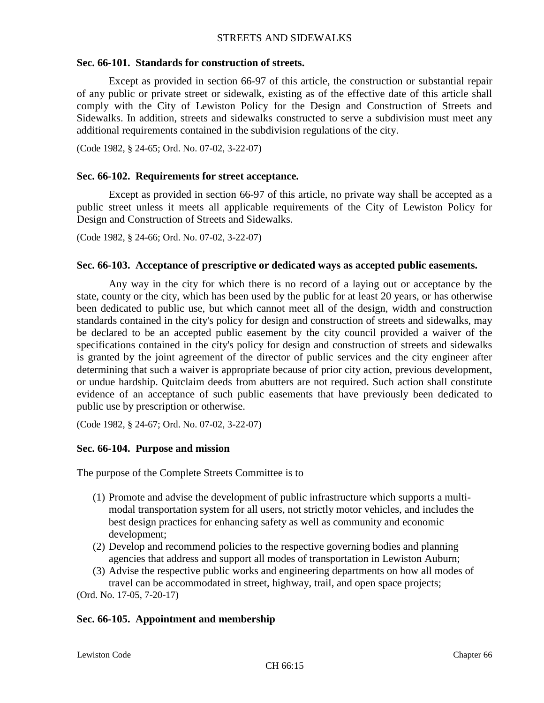# **Sec. 66-101. Standards for construction of streets.**

Except as provided in section 66-97 of this article, the construction or substantial repair of any public or private street or sidewalk, existing as of the effective date of this article shall comply with the City of Lewiston Policy for the Design and Construction of Streets and Sidewalks. In addition, streets and sidewalks constructed to serve a subdivision must meet any additional requirements contained in the subdivision regulations of the city.

(Code 1982, § 24-65; Ord. No. 07-02, 3-22-07)

# **Sec. 66-102. Requirements for street acceptance.**

Except as provided in section 66-97 of this article, no private way shall be accepted as a public street unless it meets all applicable requirements of the City of Lewiston Policy for Design and Construction of Streets and Sidewalks.

(Code 1982, § 24-66; Ord. No. 07-02, 3-22-07)

### **Sec. 66-103. Acceptance of prescriptive or dedicated ways as accepted public easements.**

Any way in the city for which there is no record of a laying out or acceptance by the state, county or the city, which has been used by the public for at least 20 years, or has otherwise been dedicated to public use, but which cannot meet all of the design, width and construction standards contained in the city's policy for design and construction of streets and sidewalks, may be declared to be an accepted public easement by the city council provided a waiver of the specifications contained in the city's policy for design and construction of streets and sidewalks is granted by the joint agreement of the director of public services and the city engineer after determining that such a waiver is appropriate because of prior city action, previous development, or undue hardship. Quitclaim deeds from abutters are not required. Such action shall constitute evidence of an acceptance of such public easements that have previously been dedicated to public use by prescription or otherwise.

(Code 1982, § 24-67; Ord. No. 07-02, 3-22-07)

# **Sec. 66-104. Purpose and mission**

The purpose of the Complete Streets Committee is to

- (1) Promote and advise the development of public infrastructure which supports a multimodal transportation system for all users, not strictly motor vehicles, and includes the best design practices for enhancing safety as well as community and economic development;
- (2) Develop and recommend policies to the respective governing bodies and planning agencies that address and support all modes of transportation in Lewiston Auburn;
- (3) Advise the respective public works and engineering departments on how all modes of travel can be accommodated in street, highway, trail, and open space projects;

(Ord. No. 17-05, 7-20-17)

# **Sec. 66-105. Appointment and membership**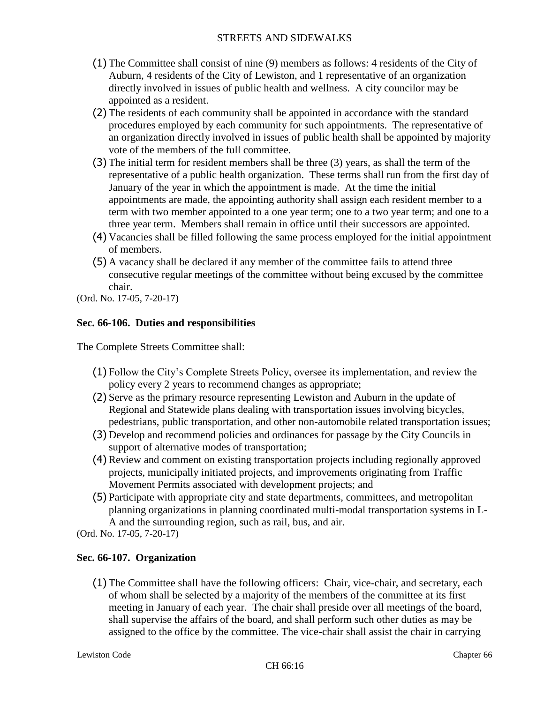- (1) The Committee shall consist of nine (9) members as follows: 4 residents of the City of Auburn, 4 residents of the City of Lewiston, and 1 representative of an organization directly involved in issues of public health and wellness. A city councilor may be appointed as a resident.
- (2) The residents of each community shall be appointed in accordance with the standard procedures employed by each community for such appointments. The representative of an organization directly involved in issues of public health shall be appointed by majority vote of the members of the full committee.
- (3) The initial term for resident members shall be three (3) years, as shall the term of the representative of a public health organization. These terms shall run from the first day of January of the year in which the appointment is made. At the time the initial appointments are made, the appointing authority shall assign each resident member to a term with two member appointed to a one year term; one to a two year term; and one to a three year term. Members shall remain in office until their successors are appointed.
- (4) Vacancies shall be filled following the same process employed for the initial appointment of members.
- (5) A vacancy shall be declared if any member of the committee fails to attend three consecutive regular meetings of the committee without being excused by the committee chair.

(Ord. No. 17-05, 7-20-17)

# **Sec. 66-106. Duties and responsibilities**

The Complete Streets Committee shall:

- (1) Follow the City's Complete Streets Policy, oversee its implementation, and review the policy every 2 years to recommend changes as appropriate;
- (2) Serve as the primary resource representing Lewiston and Auburn in the update of Regional and Statewide plans dealing with transportation issues involving bicycles, pedestrians, public transportation, and other non-automobile related transportation issues;
- (3) Develop and recommend policies and ordinances for passage by the City Councils in support of alternative modes of transportation;
- (4) Review and comment on existing transportation projects including regionally approved projects, municipally initiated projects, and improvements originating from Traffic Movement Permits associated with development projects; and
- (5) Participate with appropriate city and state departments, committees, and metropolitan planning organizations in planning coordinated multi-modal transportation systems in L-A and the surrounding region, such as rail, bus, and air.
- (Ord. No. 17-05, 7-20-17)

# **Sec. 66-107. Organization**

(1) The Committee shall have the following officers: Chair, vice-chair, and secretary, each of whom shall be selected by a majority of the members of the committee at its first meeting in January of each year. The chair shall preside over all meetings of the board, shall supervise the affairs of the board, and shall perform such other duties as may be assigned to the office by the committee. The vice-chair shall assist the chair in carrying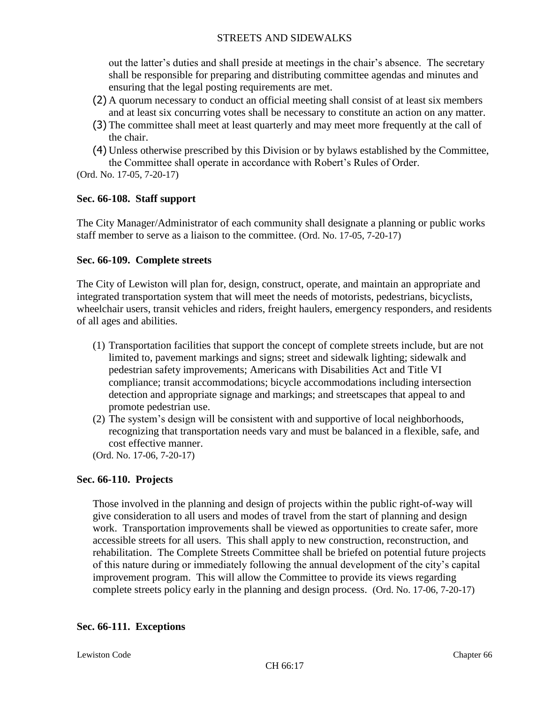out the latter's duties and shall preside at meetings in the chair's absence. The secretary shall be responsible for preparing and distributing committee agendas and minutes and ensuring that the legal posting requirements are met.

- (2) A quorum necessary to conduct an official meeting shall consist of at least six members and at least six concurring votes shall be necessary to constitute an action on any matter.
- (3) The committee shall meet at least quarterly and may meet more frequently at the call of the chair.
- (4) Unless otherwise prescribed by this Division or by bylaws established by the Committee, the Committee shall operate in accordance with Robert's Rules of Order.
- (Ord. No. 17-05, 7-20-17)

### **Sec. 66-108. Staff support**

The City Manager/Administrator of each community shall designate a planning or public works staff member to serve as a liaison to the committee. (Ord. No. 17-05, 7-20-17)

### **Sec. 66-109. Complete streets**

The City of Lewiston will plan for, design, construct, operate, and maintain an appropriate and integrated transportation system that will meet the needs of motorists, pedestrians, bicyclists, wheelchair users, transit vehicles and riders, freight haulers, emergency responders, and residents of all ages and abilities.

- (1) Transportation facilities that support the concept of complete streets include, but are not limited to, pavement markings and signs; street and sidewalk lighting; sidewalk and pedestrian safety improvements; Americans with Disabilities Act and Title VI compliance; transit accommodations; bicycle accommodations including intersection detection and appropriate signage and markings; and streetscapes that appeal to and promote pedestrian use.
- (2) The system's design will be consistent with and supportive of local neighborhoods, recognizing that transportation needs vary and must be balanced in a flexible, safe, and cost effective manner.

(Ord. No. 17-06, 7-20-17)

# **Sec. 66-110. Projects**

Those involved in the planning and design of projects within the public right-of-way will give consideration to all users and modes of travel from the start of planning and design work. Transportation improvements shall be viewed as opportunities to create safer, more accessible streets for all users. This shall apply to new construction, reconstruction, and rehabilitation. The Complete Streets Committee shall be briefed on potential future projects of this nature during or immediately following the annual development of the city's capital improvement program. This will allow the Committee to provide its views regarding complete streets policy early in the planning and design process. (Ord. No. 17-06, 7-20-17)

# **Sec. 66-111. Exceptions**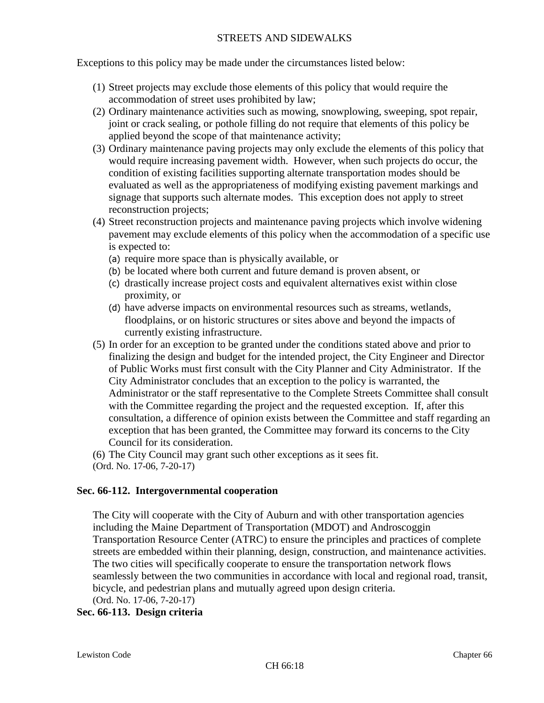Exceptions to this policy may be made under the circumstances listed below:

- (1) Street projects may exclude those elements of this policy that would require the accommodation of street uses prohibited by law;
- (2) Ordinary maintenance activities such as mowing, snowplowing, sweeping, spot repair, joint or crack sealing, or pothole filling do not require that elements of this policy be applied beyond the scope of that maintenance activity;
- (3) Ordinary maintenance paving projects may only exclude the elements of this policy that would require increasing pavement width. However, when such projects do occur, the condition of existing facilities supporting alternate transportation modes should be evaluated as well as the appropriateness of modifying existing pavement markings and signage that supports such alternate modes. This exception does not apply to street reconstruction projects;
- (4) Street reconstruction projects and maintenance paving projects which involve widening pavement may exclude elements of this policy when the accommodation of a specific use is expected to:
	- (a) require more space than is physically available, or
	- (b) be located where both current and future demand is proven absent, or
	- (c) drastically increase project costs and equivalent alternatives exist within close proximity, or
	- (d) have adverse impacts on environmental resources such as streams, wetlands, floodplains, or on historic structures or sites above and beyond the impacts of currently existing infrastructure.
- (5) In order for an exception to be granted under the conditions stated above and prior to finalizing the design and budget for the intended project, the City Engineer and Director of Public Works must first consult with the City Planner and City Administrator. If the City Administrator concludes that an exception to the policy is warranted, the Administrator or the staff representative to the Complete Streets Committee shall consult with the Committee regarding the project and the requested exception. If, after this consultation, a difference of opinion exists between the Committee and staff regarding an exception that has been granted, the Committee may forward its concerns to the City Council for its consideration.
- (6) The City Council may grant such other exceptions as it sees fit.
- (Ord. No. 17-06, 7-20-17)

#### **Sec. 66-112. Intergovernmental cooperation**

The City will cooperate with the City of Auburn and with other transportation agencies including the Maine Department of Transportation (MDOT) and Androscoggin Transportation Resource Center (ATRC) to ensure the principles and practices of complete streets are embedded within their planning, design, construction, and maintenance activities. The two cities will specifically cooperate to ensure the transportation network flows seamlessly between the two communities in accordance with local and regional road, transit, bicycle, and pedestrian plans and mutually agreed upon design criteria. (Ord. No. 17-06, 7-20-17)

#### **Sec. 66-113. Design criteria**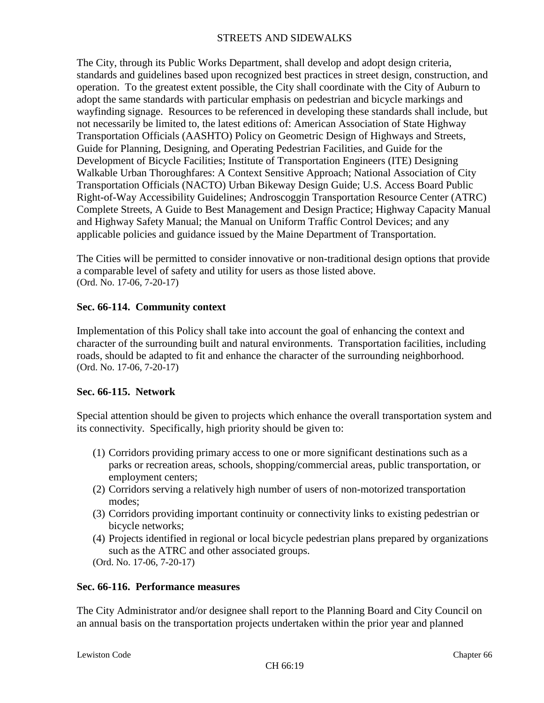The City, through its Public Works Department, shall develop and adopt design criteria, standards and guidelines based upon recognized best practices in street design, construction, and operation. To the greatest extent possible, the City shall coordinate with the City of Auburn to adopt the same standards with particular emphasis on pedestrian and bicycle markings and wayfinding signage. Resources to be referenced in developing these standards shall include, but not necessarily be limited to, the latest editions of: American Association of State Highway Transportation Officials (AASHTO) Policy on Geometric Design of Highways and Streets, Guide for Planning, Designing, and Operating Pedestrian Facilities, and Guide for the Development of Bicycle Facilities; Institute of Transportation Engineers (ITE) Designing Walkable Urban Thoroughfares: A Context Sensitive Approach; National Association of City Transportation Officials (NACTO) Urban Bikeway Design Guide; U.S. Access Board Public Right-of-Way Accessibility Guidelines; Androscoggin Transportation Resource Center (ATRC) Complete Streets, A Guide to Best Management and Design Practice; Highway Capacity Manual and Highway Safety Manual; the Manual on Uniform Traffic Control Devices; and any applicable policies and guidance issued by the Maine Department of Transportation.

The Cities will be permitted to consider innovative or non-traditional design options that provide a comparable level of safety and utility for users as those listed above. (Ord. No. 17-06, 7-20-17)

# **Sec. 66-114. Community context**

Implementation of this Policy shall take into account the goal of enhancing the context and character of the surrounding built and natural environments. Transportation facilities, including roads, should be adapted to fit and enhance the character of the surrounding neighborhood. (Ord. No. 17-06, 7-20-17)

# **Sec. 66-115. Network**

Special attention should be given to projects which enhance the overall transportation system and its connectivity. Specifically, high priority should be given to:

- (1) Corridors providing primary access to one or more significant destinations such as a parks or recreation areas, schools, shopping/commercial areas, public transportation, or employment centers;
- (2) Corridors serving a relatively high number of users of non-motorized transportation modes;
- (3) Corridors providing important continuity or connectivity links to existing pedestrian or bicycle networks;
- (4) Projects identified in regional or local bicycle pedestrian plans prepared by organizations such as the ATRC and other associated groups.
- (Ord. No. 17-06, 7-20-17)

# **Sec. 66-116. Performance measures**

The City Administrator and/or designee shall report to the Planning Board and City Council on an annual basis on the transportation projects undertaken within the prior year and planned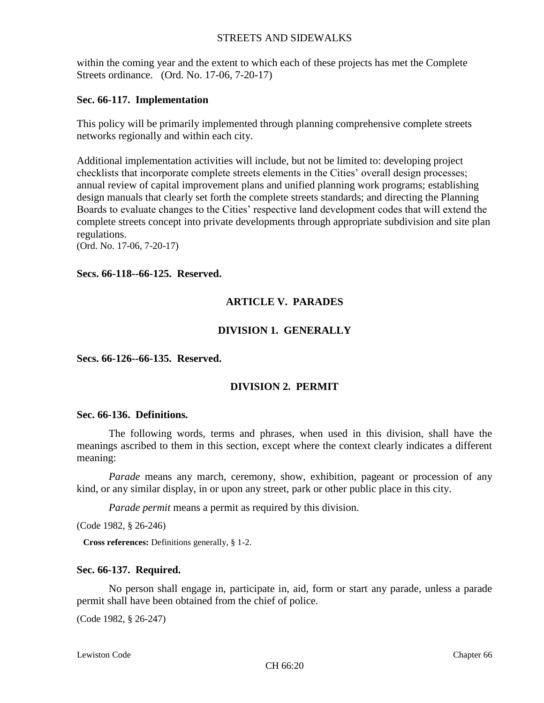within the coming year and the extent to which each of these projects has met the Complete Streets ordinance. (Ord. No. 17-06, 7-20-17)

#### **Sec. 66-117. Implementation**

This policy will be primarily implemented through planning comprehensive complete streets networks regionally and within each city.

Additional implementation activities will include, but not be limited to: developing project checklists that incorporate complete streets elements in the Cities' overall design processes; annual review of capital improvement plans and unified planning work programs; establishing design manuals that clearly set forth the complete streets standards; and directing the Planning Boards to evaluate changes to the Cities' respective land development codes that will extend the complete streets concept into private developments through appropriate subdivision and site plan regulations.

(Ord. No. 17-06, 7-20-17)

#### **Secs. 66-118--66-125. Reserved.**

# **ARTICLE V. PARADES**

# **DIVISION 1. GENERALLY**

**Secs. 66-126--66-135. Reserved.**

# **DIVISION 2. PERMIT**

#### **Sec. 66-136. Definitions.**

The following words, terms and phrases, when used in this division, shall have the meanings ascribed to them in this section, except where the context clearly indicates a different meaning:

*Parade* means any march, ceremony, show, exhibition, pageant or procession of any kind, or any similar display, in or upon any street, park or other public place in this city.

*Parade permit* means a permit as required by this division.

(Code 1982, § 26-246)

**Cross references:** Definitions generally, § 1-2.

#### **Sec. 66-137. Required.**

No person shall engage in, participate in, aid, form or start any parade, unless a parade permit shall have been obtained from the chief of police.

(Code 1982, § 26-247)

Lewiston Code Chapter 66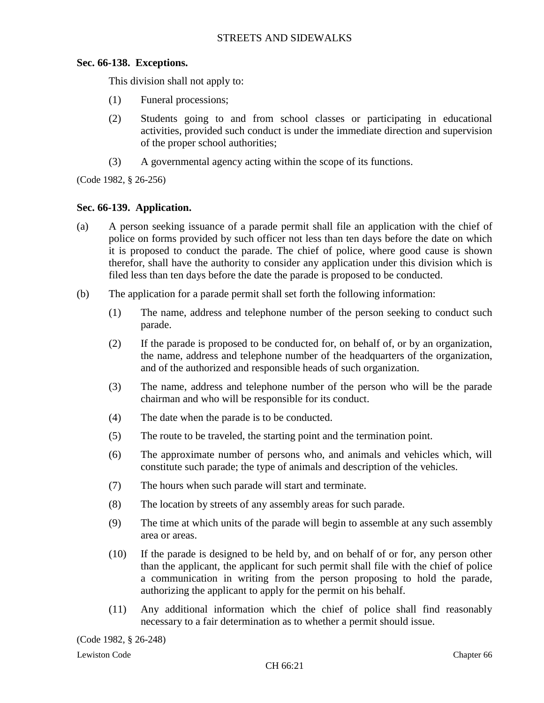# **Sec. 66-138. Exceptions.**

This division shall not apply to:

- (1) Funeral processions;
- (2) Students going to and from school classes or participating in educational activities, provided such conduct is under the immediate direction and supervision of the proper school authorities;
- (3) A governmental agency acting within the scope of its functions.

(Code 1982, § 26-256)

### **Sec. 66-139. Application.**

- (a) A person seeking issuance of a parade permit shall file an application with the chief of police on forms provided by such officer not less than ten days before the date on which it is proposed to conduct the parade. The chief of police, where good cause is shown therefor, shall have the authority to consider any application under this division which is filed less than ten days before the date the parade is proposed to be conducted.
- (b) The application for a parade permit shall set forth the following information:
	- (1) The name, address and telephone number of the person seeking to conduct such parade.
	- (2) If the parade is proposed to be conducted for, on behalf of, or by an organization, the name, address and telephone number of the headquarters of the organization, and of the authorized and responsible heads of such organization.
	- (3) The name, address and telephone number of the person who will be the parade chairman and who will be responsible for its conduct.
	- (4) The date when the parade is to be conducted.
	- (5) The route to be traveled, the starting point and the termination point.
	- (6) The approximate number of persons who, and animals and vehicles which, will constitute such parade; the type of animals and description of the vehicles.
	- (7) The hours when such parade will start and terminate.
	- (8) The location by streets of any assembly areas for such parade.
	- (9) The time at which units of the parade will begin to assemble at any such assembly area or areas.
	- (10) If the parade is designed to be held by, and on behalf of or for, any person other than the applicant, the applicant for such permit shall file with the chief of police a communication in writing from the person proposing to hold the parade, authorizing the applicant to apply for the permit on his behalf.
	- (11) Any additional information which the chief of police shall find reasonably necessary to a fair determination as to whether a permit should issue.

(Code 1982, § 26-248)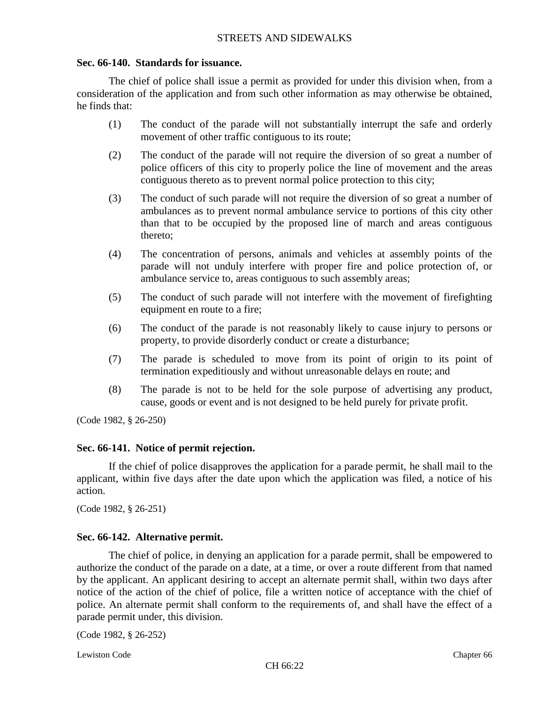#### **Sec. 66-140. Standards for issuance.**

The chief of police shall issue a permit as provided for under this division when, from a consideration of the application and from such other information as may otherwise be obtained, he finds that:

- (1) The conduct of the parade will not substantially interrupt the safe and orderly movement of other traffic contiguous to its route;
- (2) The conduct of the parade will not require the diversion of so great a number of police officers of this city to properly police the line of movement and the areas contiguous thereto as to prevent normal police protection to this city;
- (3) The conduct of such parade will not require the diversion of so great a number of ambulances as to prevent normal ambulance service to portions of this city other than that to be occupied by the proposed line of march and areas contiguous thereto;
- (4) The concentration of persons, animals and vehicles at assembly points of the parade will not unduly interfere with proper fire and police protection of, or ambulance service to, areas contiguous to such assembly areas;
- (5) The conduct of such parade will not interfere with the movement of firefighting equipment en route to a fire;
- (6) The conduct of the parade is not reasonably likely to cause injury to persons or property, to provide disorderly conduct or create a disturbance;
- (7) The parade is scheduled to move from its point of origin to its point of termination expeditiously and without unreasonable delays en route; and
- (8) The parade is not to be held for the sole purpose of advertising any product, cause, goods or event and is not designed to be held purely for private profit.

(Code 1982, § 26-250)

# **Sec. 66-141. Notice of permit rejection.**

If the chief of police disapproves the application for a parade permit, he shall mail to the applicant, within five days after the date upon which the application was filed, a notice of his action.

(Code 1982, § 26-251)

# **Sec. 66-142. Alternative permit.**

The chief of police, in denying an application for a parade permit, shall be empowered to authorize the conduct of the parade on a date, at a time, or over a route different from that named by the applicant. An applicant desiring to accept an alternate permit shall, within two days after notice of the action of the chief of police, file a written notice of acceptance with the chief of police. An alternate permit shall conform to the requirements of, and shall have the effect of a parade permit under, this division.

(Code 1982, § 26-252)

Lewiston Code Chapter 66